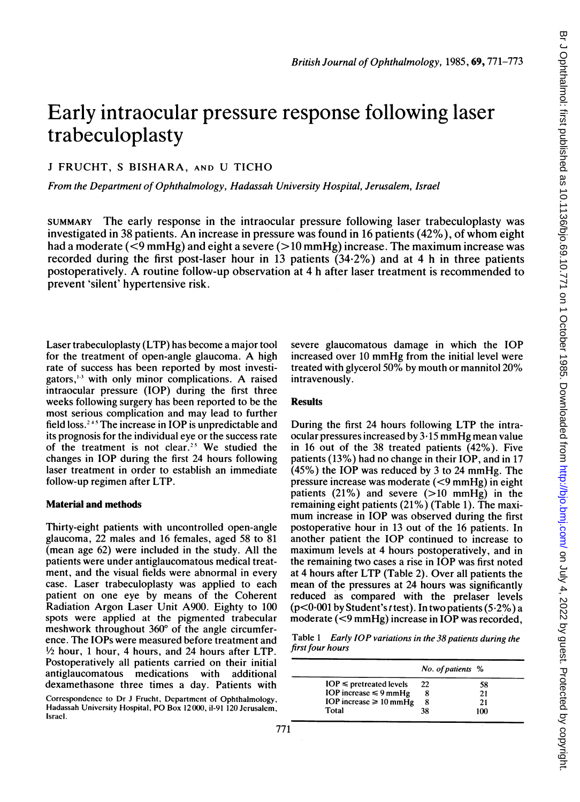# Early intraocular pressure response following laser trabeculoplasty

# <sup>J</sup> FRUCHT, <sup>S</sup> BISHARA, AND U TICHO

From the Department of Ophthalmology, Hadassah University Hospital, Jerusalem, Israel

SUMMARY The early response in the intraocular pressure following laser trabeculoplasty was investigated in 38 patients. An increase in pressure was found in <sup>16</sup> patients (42%), of whom eight had a moderate  $(< 9 \text{ mmHg}$ ) and eight a severe  $(> 10 \text{ mmHg})$  increase. The maximum increase was recorded during the first post-laser hour in 13 patients (34-2%) and at 4 h in three patients postoperatively. A routine follow-up observation at <sup>4</sup> <sup>h</sup> after laser treatment is recommended to prevent 'silent' hypertensive risk.

Laser trabeculoplasty (LTP) has become a major tool for the treatment of open-angle glaucoma. A high rate of success has been reported by most investigators, $<sup>1-3</sup>$  with only minor complications. A raised</sup> intraocular pressure (IOP) during the first three weeks following surgery has been reported to be the most serious complication and may lead to further field loss.<sup> $245$ </sup> The increase in IOP is unpredictable and its prognosis for the individual eye or the success rate of the treatment is not clear.'5 We studied the changes in IOP during the first 24 hours following laser treatment in order to establish an immediate follow-up regimen after LTP.

## Material and methods

Thirty-eight patients with uncontrolled open-angle glaucoma, 22 males and 16 females, aged 58 to 81 (mean age 62) were included in the study. All the patients were under antiglaucomatous medical treatment, and the visual fields were abnormal in every case. Laser trabeculoplasty was applied to each patient on one eye by means of the Coherent Radiation Argon Laser Unit A900. Eighty to 100 spots were applied at the pigmented trabecular meshwork throughout  $360^{\circ}$  of the angle circumference. The IOPs were measured before treatment and  $\frac{1}{2}$  hour, 1 hour, 4 hours, and 24 hours after LTP. Postoperatively all patients carried on their initial antiglaucomatous medications with additional dexamethasone three times a day. Patients with

Correspondence to Dr <sup>J</sup> Frucht, Dcpartmcnt of Ophthalmology, Hadassah University Hospital, PO Box 12000, il-91 120 Jerusalem, Israel.

severe glaucomatous damage in which the IOP increased over <sup>10</sup> mmHg from the initial level were treated with glycerol 50% by mouth or mannitol 20% intravenously.

#### Results

During the first 24 hours following LTP the intraocular pressures increased by 3-15 mmHg mean value in 16 out of the 38 treated patients (42%). Five patients (13%) had no change in their IOP, and in 17 (45%) the IOP was reduced by <sup>3</sup> to 24 mmHg. The pressure increase was moderate (<9 mmHg) in eight patients  $(21\%)$  and severe  $(>10$  mmHg) in the remaining eight patients (21%) (Table 1). The maximum increase in IOP was observed during the first postoperative hour in 13 out of the 16 patients. In another patient the IOP continued to increase to maximum levels at 4 hours postoperatively, and in the remaining two cases a rise in IOP was first noted at 4 hours after LTP (Table 2). Over all patients the mean of the pressures at 24 hours was significantly reduced as compared with the prelaser levels  $(p<0.001$  by Student's *t* test). In two patients (5.2%) a moderate (<9 mmHg) increase in IOP was recorded,

Table <sup>1</sup> Early IOP variations in the 38 patients during the first four hours

|                              | No. of patients % |     |  |
|------------------------------|-------------------|-----|--|
| $IOP \leq$ pretreated levels | 22                | 58  |  |
| IOP increase $\leq 9$ mmHg   |                   | 21  |  |
| IOP increase $\geq 10$ mmHg  | 8                 | 21  |  |
| Total                        | 38                | 100 |  |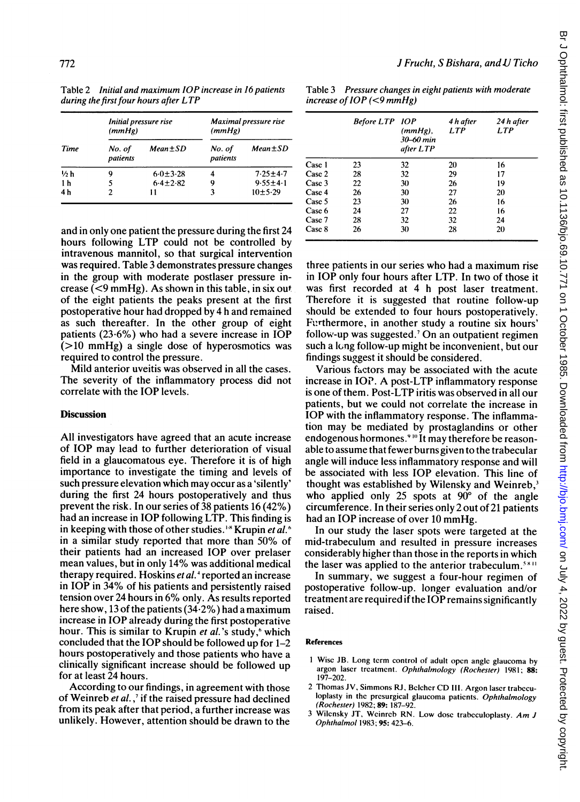Table 2 Initial and maximum IOP increase in 16 patients during the first four hours after  $LTP$ 

| Time           | Initial pressure rise<br>(mmHg) |               | Maximal pressure rise<br>(mmHg) |               |
|----------------|---------------------------------|---------------|---------------------------------|---------------|
|                | No. of<br>patients              | $Mean \pm SD$ | No. of<br>patients              | $Mean \pm SD$ |
| 1/2 h          | 9                               | $6.0 + 3.28$  |                                 | $7.25 + 4.7$  |
| 1 <sub>h</sub> |                                 | $6.4 + 2.82$  | q                               | $9.55 + 4.1$  |
| 4 h            | 2                               | 11            |                                 | $10 + 5.29$   |

and in only one patient the pressure during the first 24 hours following LTP could not be controlled by intravenous mannitol, so that surgical intervention was required. Table 3 demonstrates pressure changes in the group with moderate postlaser pressure increase ( $\leq$ 9 mmHg). As shown in this table, in six out of the eight patients the peaks present at the first postoperative hour had dropped by 4 h and remained as such thereafter. In the other group of eight patients (23-6%) who had <sup>a</sup> severe increase in IOP (>10 mmHg) <sup>a</sup> single dose of hyperosmotics was required to control the pressure.

Mild anterior uveitis was observed in all the cases. The severity of the inflammatory process did not correlate with the IOP levels.

### **Discussion**

All investigators have agreed that an acute increase of IOP may lead to further deterioration of visual field in a glaucomatous eye. Therefore it is of high importance to investigate the timing and levels of such pressure elevation which may occur as a 'silently' during the first 24 hours postoperatively and thus prevent the risk. In our series of 38 patients 16 (42%) had an increase in IOP following LTP. This finding is in keeping with those of other studies.<sup>1\*</sup> Krupin et al.<sup>6</sup> in <sup>a</sup> similar study reported that more than 50% of their patients had an increased IOP over prelaser mean values, but in only 14% was additional medical therapy required. Hoskins et al.<sup>4</sup> reported an increase in IOP in 34% of his patients and persistently raised tension over <sup>24</sup> hours in 6% only. As results reported here show, 13 of the patients (34-2%) had a maximum increase in IOP already during the first postoperative hour. This is similar to Krupin et al.'s study,<sup>6</sup> which concluded that the IOP should be followed up for 1-2 hours postoperatively and those patients who have a clinically significant increase should be followed up for at least 24 hours.

According to our findings, in agreement with those of Weinreb et al., if the raised pressure had declined from its peak after that period, a further increase was unlikely. However, attention should be drawn to the

Table 3 Pressure changes in eight patients with moderate increase of IOP (<9 mmHg)

|        | Before LTP 10P | $(mmHg)$ ,<br>30–60 min<br>after LTP | 4 h after<br><b>LTP</b> | 24 h after<br><b>LTP</b> |
|--------|----------------|--------------------------------------|-------------------------|--------------------------|
| Case 1 | 23             | 32                                   | 20                      | 16                       |
| Case 2 | 28             | 32                                   | 29                      | 17                       |
| Case 3 | 22             | 30                                   | 26                      | 19                       |
| Case 4 | 26             | 30                                   | 27                      | 20                       |
| Case 5 | 23             | 30                                   | 26                      | 16                       |
| Case 6 | 24             | 27                                   | 22                      | 16                       |
| Case 7 | 28             | 32                                   | 32                      | 24                       |
| Case 8 | 26             | 30                                   | 28                      | 20                       |

three patients in our series who had a maximum rise in IOP only four hours after LTP. In two of those it was first recorded at 4 h post laser treatment. Therefore it is suggested that routine follow-up should be extended to four hours postoperatively. Furthermore, in another study a routine six hours' follow-up was suggested.' On an outpatient regimen such a long follow-up might be inconvenient, but our findings suggest it should be considered.

Various factors may be associated with the acute increase in IOP. A post-LTP inflammatory response is one of them. Post-LTP iritis was observed in all our patients, but we could not correlate the increase in IOP with the inflammatory response. The inflammation may be mediated by prostaglandins or other endogenous hormones.<sup>9 10</sup> It may therefore be reasonable to assume that fewer burns given to the trabecular angle will induce less inflammatory response and will be associated with less IOP elevation. This line of thought was established by Wilensky and Weinreb,<sup>3</sup> who applied only 25 spots at  $90^{\circ}$  of the angle circumference. In their series only 2 out of 21 patients had an IOP increase of over <sup>10</sup> mmHg.

In our study the laser spots were targeted at the mid-trabeculum and resulted in pressure increases considerably higher than those in the reports in which the laser was applied to the anterior trabeculum.<sup>5811</sup>

In summary, we suggest a four-hour regimen of postoperative follow-up. longer evaluation and/or treatment are required if the IOP remains significantly raised.

#### References

<sup>I</sup> Wise JB. Long term control of adult opcn anglc glaucoma by argon laser trcatment. Ophthalmology (Rochester) 1981; 88: 197-202.

2 Thomas JV, Simmons RJ, Belcher CD III. Argon laser trabeculoplasty in the presurgical glaucoma patients. Ophthalmology (Rochester) 1982; 89: 187-92.

<sup>3</sup> Wilcnsky JT, Weinreb RN. Low dosc trabeculoplasty. Am <sup>J</sup> Ophthalmol 1983; 95: 423-6.